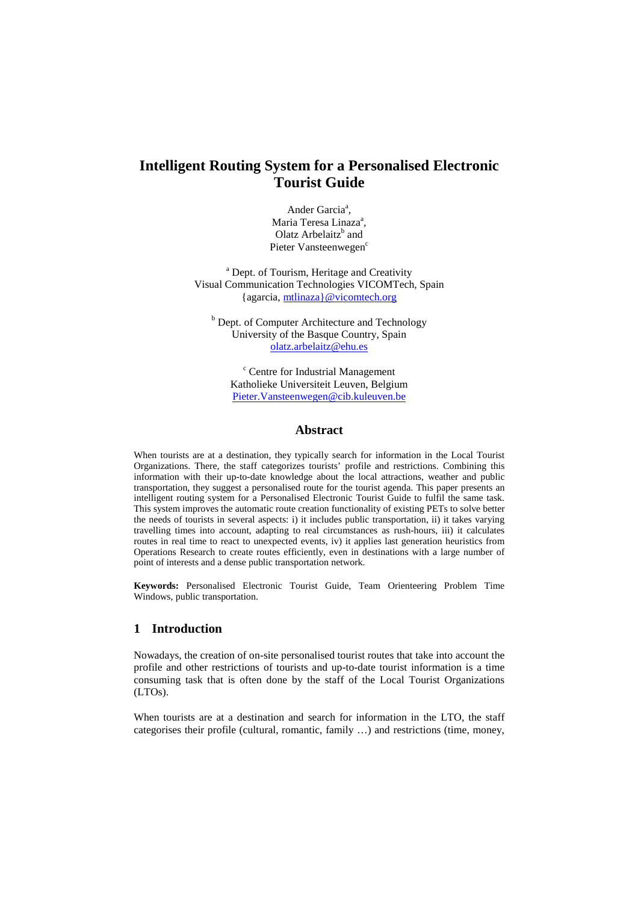# **Intelligent Routing System for a Personalised Electronic Tourist Guide**

Ander Garcia<sup>a</sup>, Maria Teresa Linaza<sup>a</sup>, Olatz Arbelaitz<sup>b</sup> and Pieter Vansteenwegen<sup>c</sup>

<sup>a</sup> Dept. of Tourism, Heritage and Creativity Visual Communication Technologies VICOMTech, Spain {agarcia, mtlinaza}@vicomtech.org

<sup>b</sup> Dept. of Computer Architecture and Technology University of the Basque Country, Spain olatz.arbelaitz@ehu.es

<sup>c</sup> Centre for Industrial Management Katholieke Universiteit Leuven, Belgium Pieter.Vansteenwegen@cib.kuleuven.be

### **Abstract**

When tourists are at a destination, they typically search for information in the Local Tourist Organizations. There, the staff categorizes tourists' profile and restrictions. Combining this information with their up-to-date knowledge about the local attractions, weather and public transportation, they suggest a personalised route for the tourist agenda. This paper presents an intelligent routing system for a Personalised Electronic Tourist Guide to fulfil the same task. This system improves the automatic route creation functionality of existing PETs to solve better the needs of tourists in several aspects: i) it includes public transportation, ii) it takes varying travelling times into account, adapting to real circumstances as rush-hours, iii) it calculates routes in real time to react to unexpected events, iv) it applies last generation heuristics from Operations Research to create routes efficiently, even in destinations with a large number of point of interests and a dense public transportation network.

**Keywords:** Personalised Electronic Tourist Guide, Team Orienteering Problem Time Windows, public transportation.

# **1 Introduction**

Nowadays, the creation of on-site personalised tourist routes that take into account the profile and other restrictions of tourists and up-to-date tourist information is a time consuming task that is often done by the staff of the Local Tourist Organizations (LTOs).

When tourists are at a destination and search for information in the LTO, the staff categorises their profile (cultural, romantic, family …) and restrictions (time, money,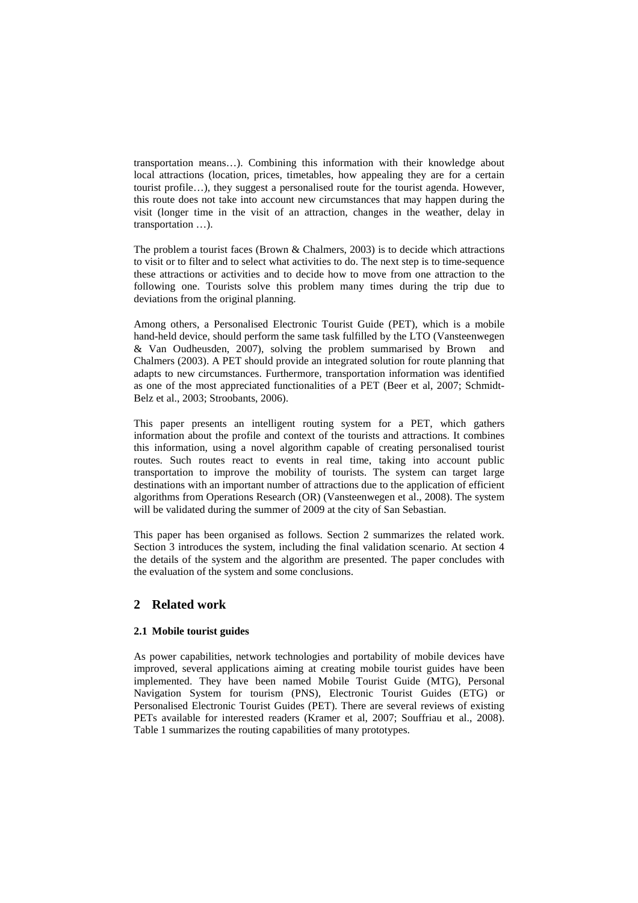transportation means…). Combining this information with their knowledge about local attractions (location, prices, timetables, how appealing they are for a certain tourist profile…), they suggest a personalised route for the tourist agenda. However, this route does not take into account new circumstances that may happen during the visit (longer time in the visit of an attraction, changes in the weather, delay in transportation …).

The problem a tourist faces (Brown  $\&$  Chalmers, 2003) is to decide which attractions to visit or to filter and to select what activities to do. The next step is to time-sequence these attractions or activities and to decide how to move from one attraction to the following one. Tourists solve this problem many times during the trip due to deviations from the original planning.

Among others, a Personalised Electronic Tourist Guide (PET), which is a mobile hand-held device, should perform the same task fulfilled by the LTO (Vansteenwegen & Van Oudheusden, 2007), solving the problem summarised by Brown and Chalmers (2003). A PET should provide an integrated solution for route planning that adapts to new circumstances. Furthermore, transportation information was identified as one of the most appreciated functionalities of a PET (Beer et al, 2007; Schmidt-Belz et al., 2003; Stroobants, 2006).

This paper presents an intelligent routing system for a PET, which gathers information about the profile and context of the tourists and attractions. It combines this information, using a novel algorithm capable of creating personalised tourist routes. Such routes react to events in real time, taking into account public transportation to improve the mobility of tourists. The system can target large destinations with an important number of attractions due to the application of efficient algorithms from Operations Research (OR) (Vansteenwegen et al., 2008). The system will be validated during the summer of 2009 at the city of San Sebastian.

This paper has been organised as follows. Section 2 summarizes the related work. Section 3 introduces the system, including the final validation scenario. At section 4 the details of the system and the algorithm are presented. The paper concludes with the evaluation of the system and some conclusions.

# **2 Related work**

#### **2.1 Mobile tourist guides**

As power capabilities, network technologies and portability of mobile devices have improved, several applications aiming at creating mobile tourist guides have been implemented. They have been named Mobile Tourist Guide (MTG), Personal Navigation System for tourism (PNS), Electronic Tourist Guides (ETG) or Personalised Electronic Tourist Guides (PET). There are several reviews of existing PETs available for interested readers (Kramer et al, 2007; Souffriau et al., 2008). Table 1 summarizes the routing capabilities of many prototypes.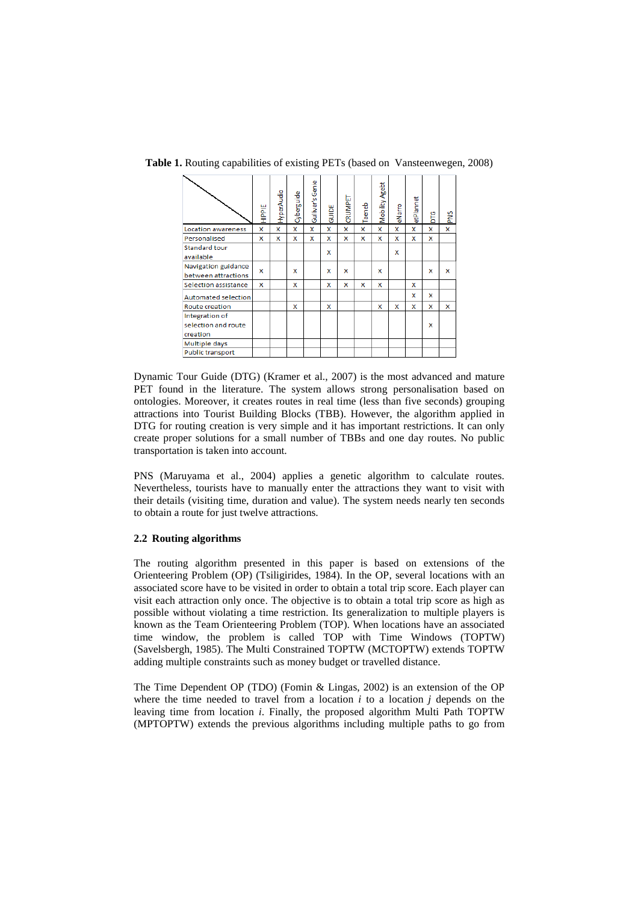|                                                   | HIPPIE | HyperAudio | Cyberguide | Gulliver's Genie | GUIDE | CRUMPET | Taeneb | Mobility Agebt | eNarro | etPlannet | bтG | PNS |
|---------------------------------------------------|--------|------------|------------|------------------|-------|---------|--------|----------------|--------|-----------|-----|-----|
| Location awareness                                | x      | x          | x          | x                | x     | x       | x      | x              | x      | x         | x   | x   |
| Personalised                                      | x      | x          | x          | x                | x     | x       | x      | x              | x      | x         | x   |     |
| <b>Standard tour</b><br>available                 |        |            |            |                  | x     |         |        |                | x      |           |     |     |
| Navigation guidance<br>between attractions        | x      |            | x          |                  | x     | x       |        | x              |        |           | x   | x   |
| Selection assistance                              | x      |            | x          |                  | x     | x       | x      | ×              |        | x         |     |     |
| <b>Automated selection</b>                        |        |            |            |                  |       |         |        |                |        | x         | x   |     |
| Route creation                                    |        |            | x          |                  | x     |         |        | x              | x      | x         | x   | x   |
| Integration of<br>selection and route<br>creation |        |            |            |                  |       |         |        |                |        |           | x   |     |
| Multiple days                                     |        |            |            |                  |       |         |        |                |        |           |     |     |
| Public transport                                  |        |            |            |                  |       |         |        |                |        |           |     |     |

**Table 1.** Routing capabilities of existing PETs (based on Vansteenwegen, 2008)

Dynamic Tour Guide (DTG) (Kramer et al., 2007) is the most advanced and mature PET found in the literature. The system allows strong personalisation based on ontologies. Moreover, it creates routes in real time (less than five seconds) grouping attractions into Tourist Building Blocks (TBB). However, the algorithm applied in DTG for routing creation is very simple and it has important restrictions. It can only create proper solutions for a small number of TBBs and one day routes. No public transportation is taken into account.

PNS (Maruyama et al., 2004) applies a genetic algorithm to calculate routes. Nevertheless, tourists have to manually enter the attractions they want to visit with their details (visiting time, duration and value). The system needs nearly ten seconds to obtain a route for just twelve attractions.

#### **2.2 Routing algorithms**

The routing algorithm presented in this paper is based on extensions of the Orienteering Problem (OP) (Tsiligirides, 1984). In the OP, several locations with an associated score have to be visited in order to obtain a total trip score. Each player can visit each attraction only once. The objective is to obtain a total trip score as high as possible without violating a time restriction. Its generalization to multiple players is known as the Team Orienteering Problem (TOP). When locations have an associated time window, the problem is called TOP with Time Windows (TOPTW) (Savelsbergh, 1985). The Multi Constrained TOPTW (MCTOPTW) extends TOPTW adding multiple constraints such as money budget or travelled distance.

The Time Dependent OP (TDO) (Fomin & Lingas, 2002) is an extension of the OP where the time needed to travel from a location *i* to a location *j* depends on the leaving time from location *i*. Finally, the proposed algorithm Multi Path TOPTW (MPTOPTW) extends the previous algorithms including multiple paths to go from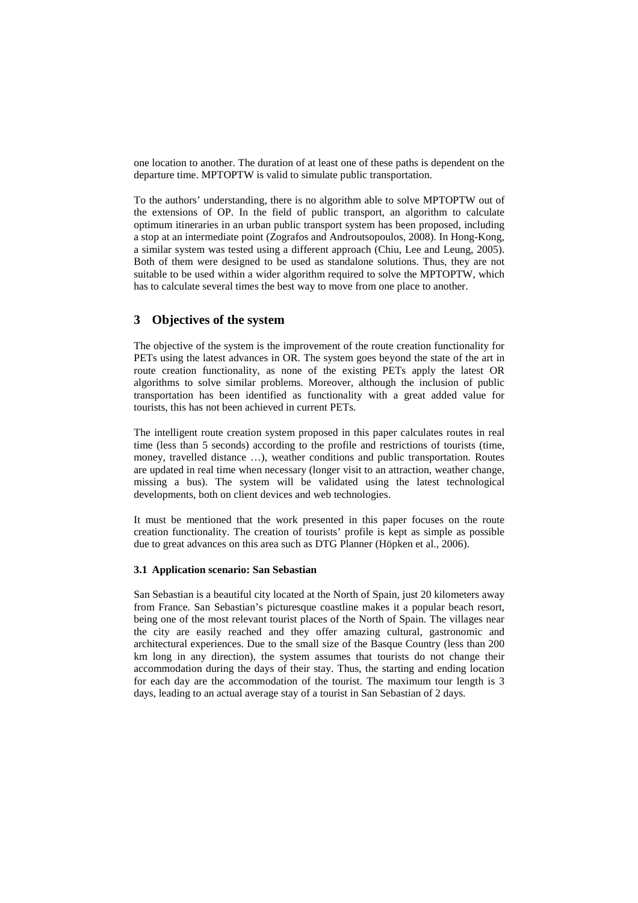one location to another. The duration of at least one of these paths is dependent on the departure time. MPTOPTW is valid to simulate public transportation.

To the authors' understanding, there is no algorithm able to solve MPTOPTW out of the extensions of OP. In the field of public transport, an algorithm to calculate optimum itineraries in an urban public transport system has been proposed, including a stop at an intermediate point (Zografos and Androutsopoulos, 2008). In Hong-Kong, a similar system was tested using a different approach (Chiu, Lee and Leung, 2005). Both of them were designed to be used as standalone solutions. Thus, they are not suitable to be used within a wider algorithm required to solve the MPTOPTW, which has to calculate several times the best way to move from one place to another.

# **3 Objectives of the system**

The objective of the system is the improvement of the route creation functionality for PETs using the latest advances in OR. The system goes beyond the state of the art in route creation functionality, as none of the existing PETs apply the latest OR algorithms to solve similar problems. Moreover, although the inclusion of public transportation has been identified as functionality with a great added value for tourists, this has not been achieved in current PETs.

The intelligent route creation system proposed in this paper calculates routes in real time (less than 5 seconds) according to the profile and restrictions of tourists (time, money, travelled distance …), weather conditions and public transportation. Routes are updated in real time when necessary (longer visit to an attraction, weather change, missing a bus). The system will be validated using the latest technological developments, both on client devices and web technologies.

It must be mentioned that the work presented in this paper focuses on the route creation functionality. The creation of tourists' profile is kept as simple as possible due to great advances on this area such as DTG Planner (Höpken et al., 2006).

## **3.1 Application scenario: San Sebastian**

San Sebastian is a beautiful city located at the North of Spain, just 20 kilometers away from France. San Sebastian's picturesque coastline makes it a popular beach resort, being one of the most relevant tourist places of the North of Spain. The villages near the city are easily reached and they offer amazing cultural, gastronomic and architectural experiences. Due to the small size of the Basque Country (less than 200 km long in any direction), the system assumes that tourists do not change their accommodation during the days of their stay. Thus, the starting and ending location for each day are the accommodation of the tourist. The maximum tour length is 3 days, leading to an actual average stay of a tourist in San Sebastian of 2 days.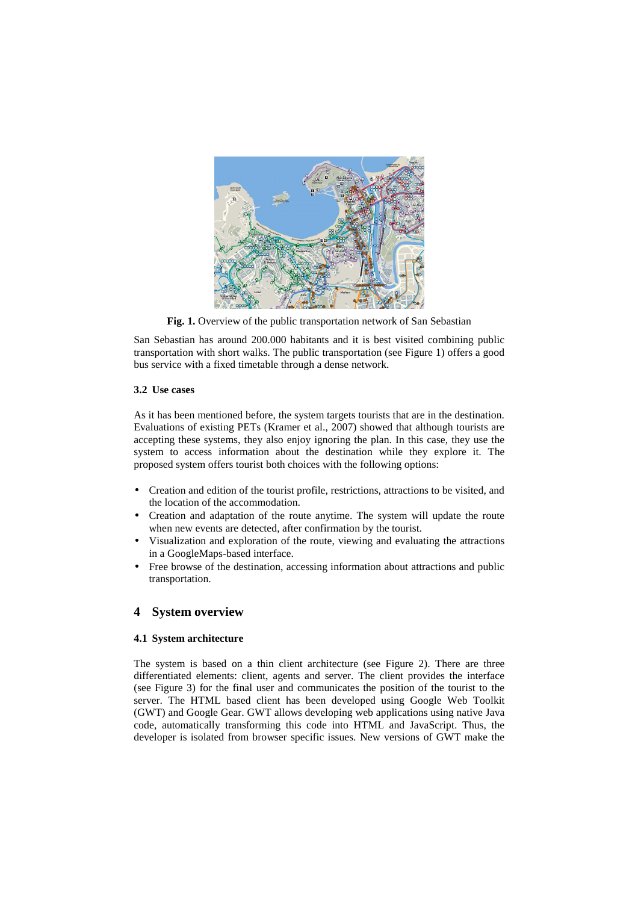

Fig. 1. Overview of the public transportation network of San Sebastian

San Sebastian has around 200.000 habitants and it is best visited combining public transportation with short walks. The public transportation (see Figure 1) offers a good bus service with a fixed timetable through a dense network.

# **3.2 Use cases**

As it has been mentioned before, the system targets tourists that are in the destination. Evaluations of existing PETs (Kramer et al., 2007) showed that although tourists are accepting these systems, they also enjoy ignoring the plan. In this case, they use the system to access information about the destination while they explore it. The proposed system offers tourist both choices with the following options:

- Creation and edition of the tourist profile, restrictions, attractions to be visited, and the location of the accommodation.
- Creation and adaptation of the route anytime. The system will update the route when new events are detected, after confirmation by the tourist.
- Visualization and exploration of the route, viewing and evaluating the attractions in a GoogleMaps-based interface.
- Free browse of the destination, accessing information about attractions and public transportation.

# **4 System overview**

# **4.1 System architecture**

The system is based on a thin client architecture (see Figure 2). There are three differentiated elements: client, agents and server. The client provides the interface (see Figure 3) for the final user and communicates the position of the tourist to the server. The HTML based client has been developed using Google Web Toolkit (GWT) and Google Gear. GWT allows developing web applications using native Java code, automatically transforming this code into HTML and JavaScript. Thus, the developer is isolated from browser specific issues. New versions of GWT make the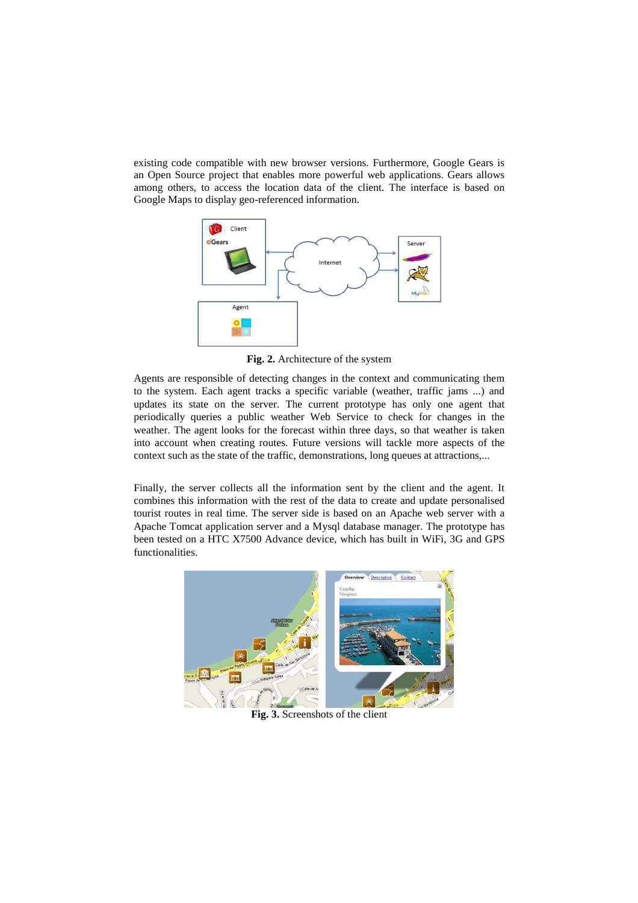existing code compatible with new browser versions. Furthermore, Google Gears is an Open Source project that enables more powerful web applications. Gears allows among others, to access the location data of the client. The interface is based on Google Maps to display geo-referenced information.



**Fig. 2.** Architecture of the system

Agents are responsible of detecting changes in the context and communicating them to the system. Each agent tracks a specific variable (weather, traffic jams ...) and updates its state on the server. The current prototype has only one agent that periodically queries a public weather Web Service to check for changes in the weather. The agent looks for the forecast within three days, so that weather is taken into account when creating routes. Future versions will tackle more aspects of the context such as the state of the traffic, demonstrations, long queues at attractions,...

Finally, the server collects all the information sent by the client and the agent. It combines this information with the rest of the data to create and update personalised tourist routes in real time. The server side is based on an Apache web server with a Apache Tomcat application server and a Mysql database manager. The prototype has been tested on a HTC X7500 Advance device, which has built in WiFi, 3G and GPS functionalities.



**Fig. 3.** Screenshots of the client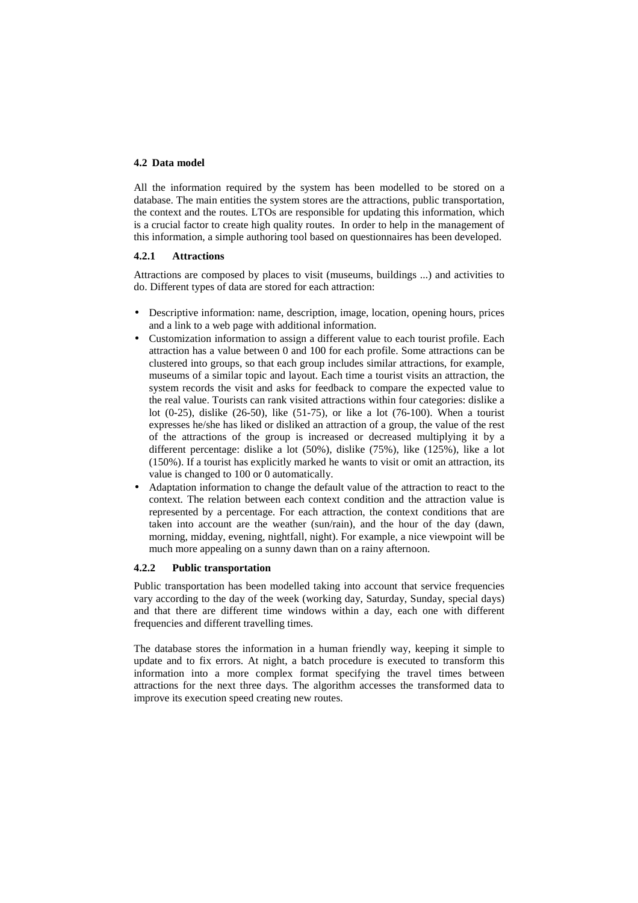# **4.2 Data model**

All the information required by the system has been modelled to be stored on a database. The main entities the system stores are the attractions, public transportation, the context and the routes. LTOs are responsible for updating this information, which is a crucial factor to create high quality routes. In order to help in the management of this information, a simple authoring tool based on questionnaires has been developed.

#### **4.2.1 Attractions**

Attractions are composed by places to visit (museums, buildings ...) and activities to do. Different types of data are stored for each attraction:

- Descriptive information: name, description, image, location, opening hours, prices and a link to a web page with additional information.
- Customization information to assign a different value to each tourist profile. Each attraction has a value between 0 and 100 for each profile. Some attractions can be clustered into groups, so that each group includes similar attractions, for example, museums of a similar topic and layout. Each time a tourist visits an attraction, the system records the visit and asks for feedback to compare the expected value to the real value. Tourists can rank visited attractions within four categories: dislike a lot (0-25), dislike (26-50), like (51-75), or like a lot (76-100). When a tourist expresses he/she has liked or disliked an attraction of a group, the value of the rest of the attractions of the group is increased or decreased multiplying it by a different percentage: dislike a lot (50%), dislike (75%), like (125%), like a lot (150%). If a tourist has explicitly marked he wants to visit or omit an attraction, its value is changed to 100 or 0 automatically.
- Adaptation information to change the default value of the attraction to react to the context. The relation between each context condition and the attraction value is represented by a percentage. For each attraction, the context conditions that are taken into account are the weather (sun/rain), and the hour of the day (dawn, morning, midday, evening, nightfall, night). For example, a nice viewpoint will be much more appealing on a sunny dawn than on a rainy afternoon.

#### **4.2.2 Public transportation**

Public transportation has been modelled taking into account that service frequencies vary according to the day of the week (working day, Saturday, Sunday, special days) and that there are different time windows within a day, each one with different frequencies and different travelling times.

The database stores the information in a human friendly way, keeping it simple to update and to fix errors. At night, a batch procedure is executed to transform this information into a more complex format specifying the travel times between attractions for the next three days. The algorithm accesses the transformed data to improve its execution speed creating new routes.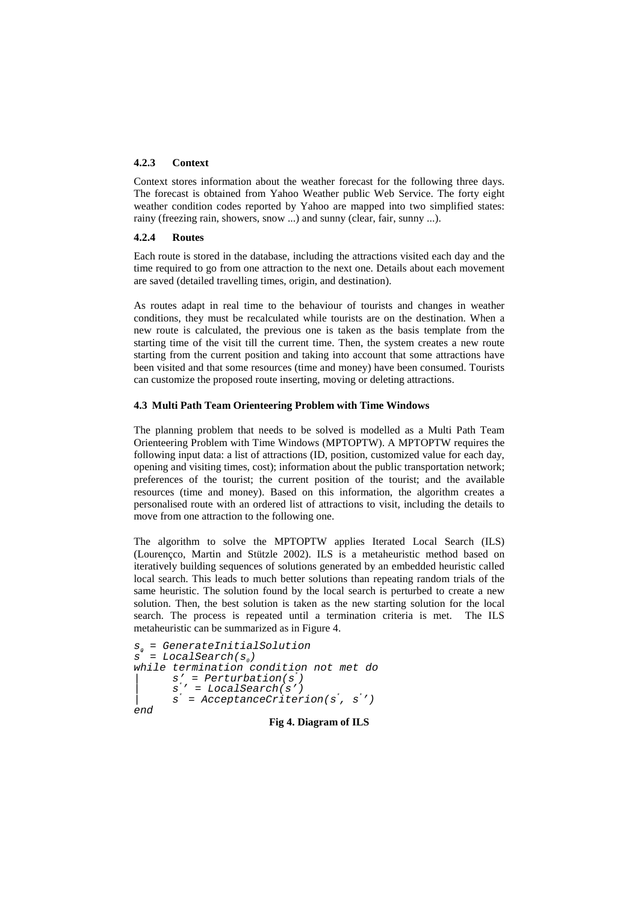## **4.2.3 Context**

Context stores information about the weather forecast for the following three days. The forecast is obtained from Yahoo Weather public Web Service. The forty eight weather condition codes reported by Yahoo are mapped into two simplified states: rainy (freezing rain, showers, snow ...) and sunny (clear, fair, sunny ...).

#### **4.2.4 Routes**

Each route is stored in the database, including the attractions visited each day and the time required to go from one attraction to the next one. Details about each movement are saved (detailed travelling times, origin, and destination).

As routes adapt in real time to the behaviour of tourists and changes in weather conditions, they must be recalculated while tourists are on the destination. When a new route is calculated, the previous one is taken as the basis template from the starting time of the visit till the current time. Then, the system creates a new route starting from the current position and taking into account that some attractions have been visited and that some resources (time and money) have been consumed. Tourists can customize the proposed route inserting, moving or deleting attractions.

#### **4.3 Multi Path Team Orienteering Problem with Time Windows**

The planning problem that needs to be solved is modelled as a Multi Path Team Orienteering Problem with Time Windows (MPTOPTW). A MPTOPTW requires the following input data: a list of attractions (ID, position, customized value for each day, opening and visiting times, cost); information about the public transportation network; preferences of the tourist; the current position of the tourist; and the available resources (time and money). Based on this information, the algorithm creates a personalised route with an ordered list of attractions to visit, including the details to move from one attraction to the following one.

The algorithm to solve the MPTOPTW applies Iterated Local Search (ILS) (Lourençco, Martin and Stützle 2002). ILS is a metaheuristic method based on iteratively building sequences of solutions generated by an embedded heuristic called local search. This leads to much better solutions than repeating random trials of the same heuristic. The solution found by the local search is perturbed to create a new solution. Then, the best solution is taken as the new starting solution for the local search. The process is repeated until a termination criteria is met. The ILS metaheuristic can be summarized as in Figure 4.

```
s<sub>o</sub> = GenerateInitialSolution
\mathbf{s}^* = LocalSearch(\mathbf{s}_o)
while termination condition not met do 
| s' = Perturbation(s*
)
j' = LocalSearch(s')\begin{pmatrix} s' & = & \text{AcceptanceCriterion}(s', s') \end{pmatrix}end
```
### **Fig 4. Diagram of ILS**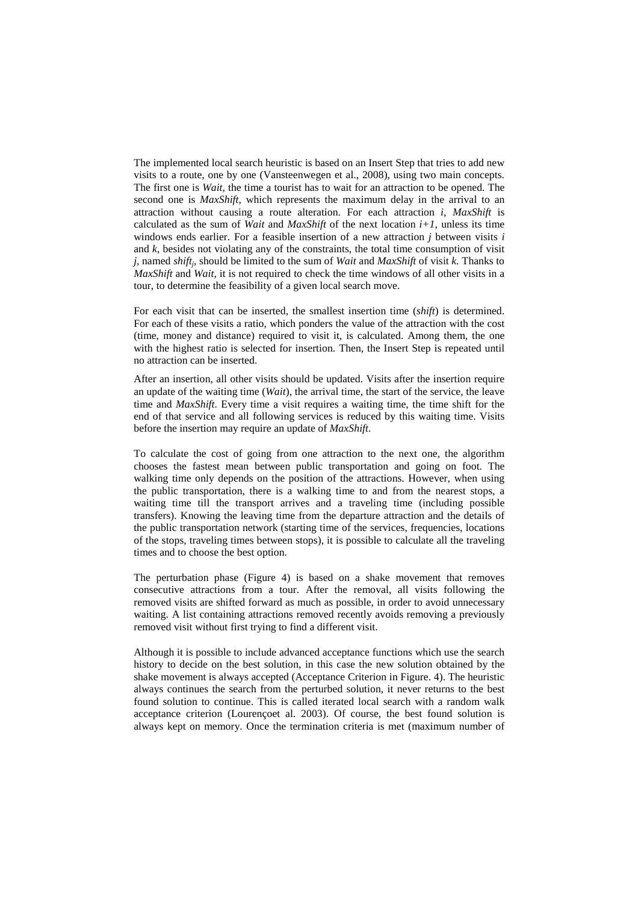The implemented local search heuristic is based on an Insert Step that tries to add new visits to a route, one by one (Vansteenwegen et al., 2008), using two main concepts. The first one is *Wait*, the time a tourist has to wait for an attraction to be opened. The second one is *MaxShift*, which represents the maximum delay in the arrival to an attraction without causing a route alteration. For each attraction *i, MaxShift* is calculated as the sum of *Wait* and *MaxShift* of the next location  $i+1$ , unless its time windows ends earlier. For a feasible insertion of a new attraction *j* between visits *i* and *k*, besides not violating any of the constraints, the total time consumption of visit *j*, named *shift<sub>j</sub>*, should be limited to the sum of *Wait* and *MaxShift* of visit *k*. Thanks to *MaxShift* and *Wait*, it is not required to check the time windows of all other visits in a tour, to determine the feasibility of a given local search move.

For each visit that can be inserted, the smallest insertion time (*shift*) is determined. For each of these visits a ratio, which ponders the value of the attraction with the cost (time, money and distance) required to visit it, is calculated. Among them, the one with the highest ratio is selected for insertion. Then, the Insert Step is repeated until no attraction can be inserted.

After an insertion, all other visits should be updated. Visits after the insertion require an update of the waiting time (*Wait*), the arrival time, the start of the service, the leave time and *MaxShift*. Every time a visit requires a waiting time, the time shift for the end of that service and all following services is reduced by this waiting time. Visits before the insertion may require an update of *MaxShift*.

To calculate the cost of going from one attraction to the next one, the algorithm chooses the fastest mean between public transportation and going on foot. The walking time only depends on the position of the attractions. However, when using the public transportation, there is a walking time to and from the nearest stops, a waiting time till the transport arrives and a traveling time (including possible transfers). Knowing the leaving time from the departure attraction and the details of the public transportation network (starting time of the services, frequencies, locations of the stops, traveling times between stops), it is possible to calculate all the traveling times and to choose the best option.

The perturbation phase (Figure 4) is based on a shake movement that removes consecutive attractions from a tour. After the removal, all visits following the removed visits are shifted forward as much as possible, in order to avoid unnecessary waiting. A list containing attractions removed recently avoids removing a previously removed visit without first trying to find a different visit.

Although it is possible to include advanced acceptance functions which use the search history to decide on the best solution, in this case the new solution obtained by the shake movement is always accepted (Acceptance Criterion in Figure. 4). The heuristic always continues the search from the perturbed solution, it never returns to the best found solution to continue. This is called iterated local search with a random walk acceptance criterion (Lourençoet al. 2003). Of course, the best found solution is always kept on memory. Once the termination criteria is met (maximum number of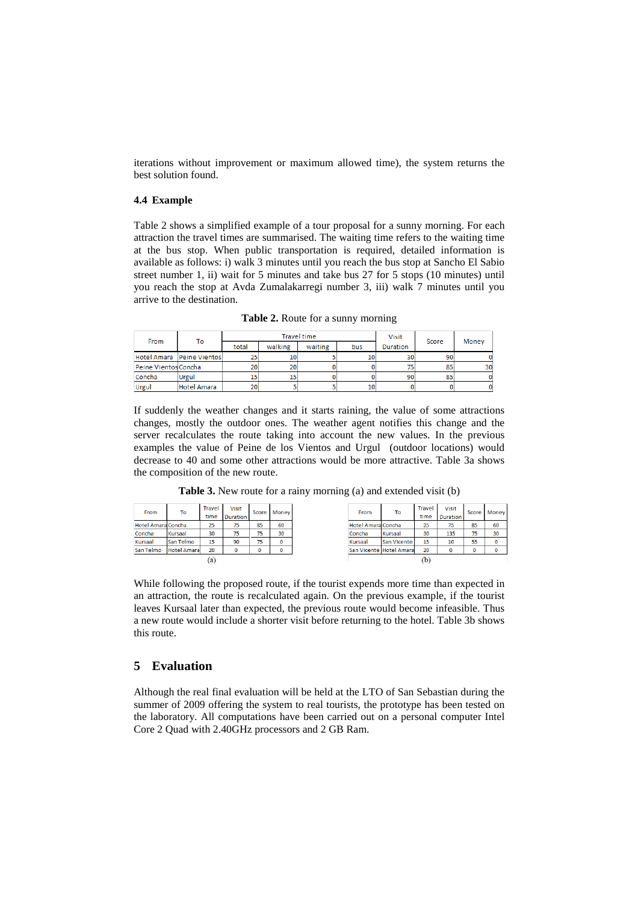iterations without improvement or maximum allowed time), the system returns the best solution found.

#### **4.4 Example**

Table 2 shows a simplified example of a tour proposal for a sunny morning. For each attraction the travel times are summarised. The waiting time refers to the waiting time at the bus stop. When public transportation is required, detailed information is available as follows: i) walk 3 minutes until you reach the bus stop at Sancho El Sabio street number 1, ii) wait for 5 minutes and take bus 27 for 5 stops (10 minutes) until you reach the stop at Avda Zumalakarregi number 3, iii) walk 7 minutes until you arrive to the destination.

**Table 2.** Route for a sunny morning

| From                 |                      |       |         | <b>Travel time</b> | Visit | Score    | Money |    |
|----------------------|----------------------|-------|---------|--------------------|-------|----------|-------|----|
|                      | To                   | total | walking | waiting            | bus   | Duration |       |    |
| <b>Hotel Amara</b>   | <b>Peine Vientos</b> | 25    | 10      |                    | 10    | 30       | 90    |    |
| Peine Vientos Concha |                      | 20    | 20      |                    |       | 75       | 85    | 30 |
| Concha               | Urgul                | 15    | 15      |                    |       | 90       | 85    |    |
| Urgul                | <b>Hotel Amara</b>   | 20    |         |                    | 10    |          |       |    |

If suddenly the weather changes and it starts raining, the value of some attractions changes, mostly the outdoor ones. The weather agent notifies this change and the server recalculates the route taking into account the new values. In the previous examples the value of Peine de los Vientos and Urgul (outdoor locations) would decrease to 40 and some other attractions would be more attractive. Table 3a shows the composition of the new route.

**Table 3.** New route for a rainy morning (a) and extended visit (b)

|           | To                        | Travel<br>time | <b>Visit</b><br><b>Duration</b> | Score | Money | From                      | To                      | Travel<br>time | <b>Visit</b><br>Duration | Score | Money |
|-----------|---------------------------|----------------|---------------------------------|-------|-------|---------------------------|-------------------------|----------------|--------------------------|-------|-------|
|           | <b>Hotel Amara Concha</b> | 25             | 75                              | 85    | 60    | <b>Hotel Amara Concha</b> |                         | 25             | 75                       | 85    |       |
| Concha    | Kursaal                   | 30             | 75                              | 75    | 30    | Concha                    | <b>Kursaal</b>          | 30             | 135                      | 75    |       |
| Kursaal   | San Telmo                 | 15             | 90                              | 75    | 0     | Kursaal                   | San Vicente             | 15             | 10                       | 55    |       |
| San Telmo | <b>Hotel Amara</b>        | 20             | 0                               |       | o     |                           | San Vicente Hotel Amara | 20             |                          | 0     |       |
|           |                           | (a)            |                                 |       |       |                           |                         | (b)            |                          |       |       |

While following the proposed route, if the tourist expends more time than expected in an attraction, the route is recalculated again. On the previous example, if the tourist leaves Kursaal later than expected, the previous route would become infeasible. Thus a new route would include a shorter visit before returning to the hotel. Table 3b shows this route.

# **5 Evaluation**

Although the real final evaluation will be held at the LTO of San Sebastian during the summer of 2009 offering the system to real tourists, the prototype has been tested on the laboratory. All computations have been carried out on a personal computer Intel Core 2 Quad with 2.40GHz processors and 2 GB Ram.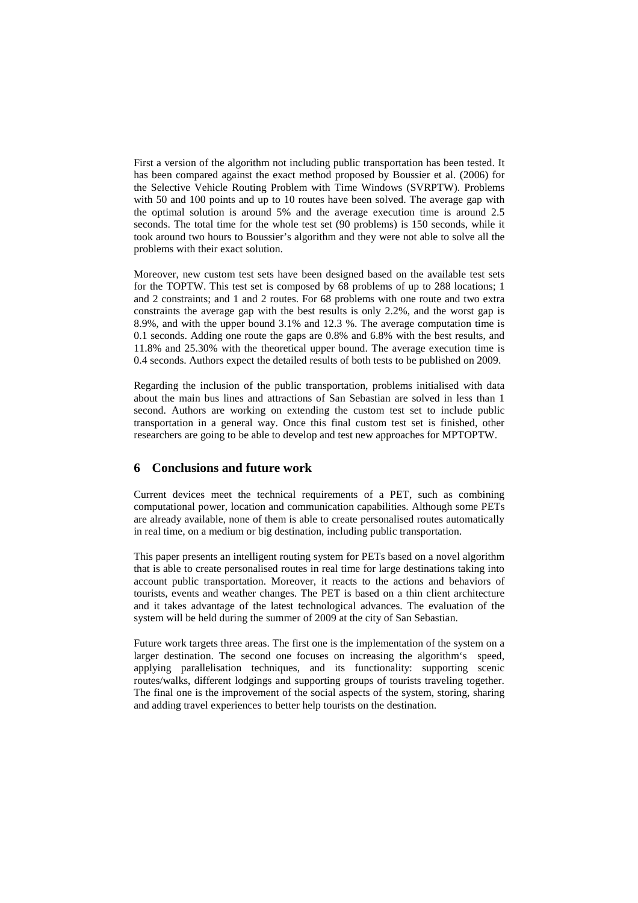First a version of the algorithm not including public transportation has been tested. It has been compared against the exact method proposed by Boussier et al. (2006) for the Selective Vehicle Routing Problem with Time Windows (SVRPTW). Problems with 50 and 100 points and up to 10 routes have been solved. The average gap with the optimal solution is around 5% and the average execution time is around 2.5 seconds. The total time for the whole test set (90 problems) is 150 seconds, while it took around two hours to Boussier's algorithm and they were not able to solve all the problems with their exact solution.

Moreover, new custom test sets have been designed based on the available test sets for the TOPTW. This test set is composed by 68 problems of up to 288 locations; 1 and 2 constraints; and 1 and 2 routes. For 68 problems with one route and two extra constraints the average gap with the best results is only 2.2%, and the worst gap is 8.9%, and with the upper bound 3.1% and 12.3 %. The average computation time is 0.1 seconds. Adding one route the gaps are 0.8% and 6.8% with the best results, and 11.8% and 25.30% with the theoretical upper bound. The average execution time is 0.4 seconds. Authors expect the detailed results of both tests to be published on 2009.

Regarding the inclusion of the public transportation, problems initialised with data about the main bus lines and attractions of San Sebastian are solved in less than 1 second. Authors are working on extending the custom test set to include public transportation in a general way. Once this final custom test set is finished, other researchers are going to be able to develop and test new approaches for MPTOPTW.

# **6 Conclusions and future work**

Current devices meet the technical requirements of a PET, such as combining computational power, location and communication capabilities. Although some PETs are already available, none of them is able to create personalised routes automatically in real time, on a medium or big destination, including public transportation.

This paper presents an intelligent routing system for PETs based on a novel algorithm that is able to create personalised routes in real time for large destinations taking into account public transportation. Moreover, it reacts to the actions and behaviors of tourists, events and weather changes. The PET is based on a thin client architecture and it takes advantage of the latest technological advances. The evaluation of the system will be held during the summer of 2009 at the city of San Sebastian.

Future work targets three areas. The first one is the implementation of the system on a larger destination. The second one focuses on increasing the algorithm's speed, applying parallelisation techniques, and its functionality: supporting scenic routes/walks, different lodgings and supporting groups of tourists traveling together. The final one is the improvement of the social aspects of the system, storing, sharing and adding travel experiences to better help tourists on the destination.